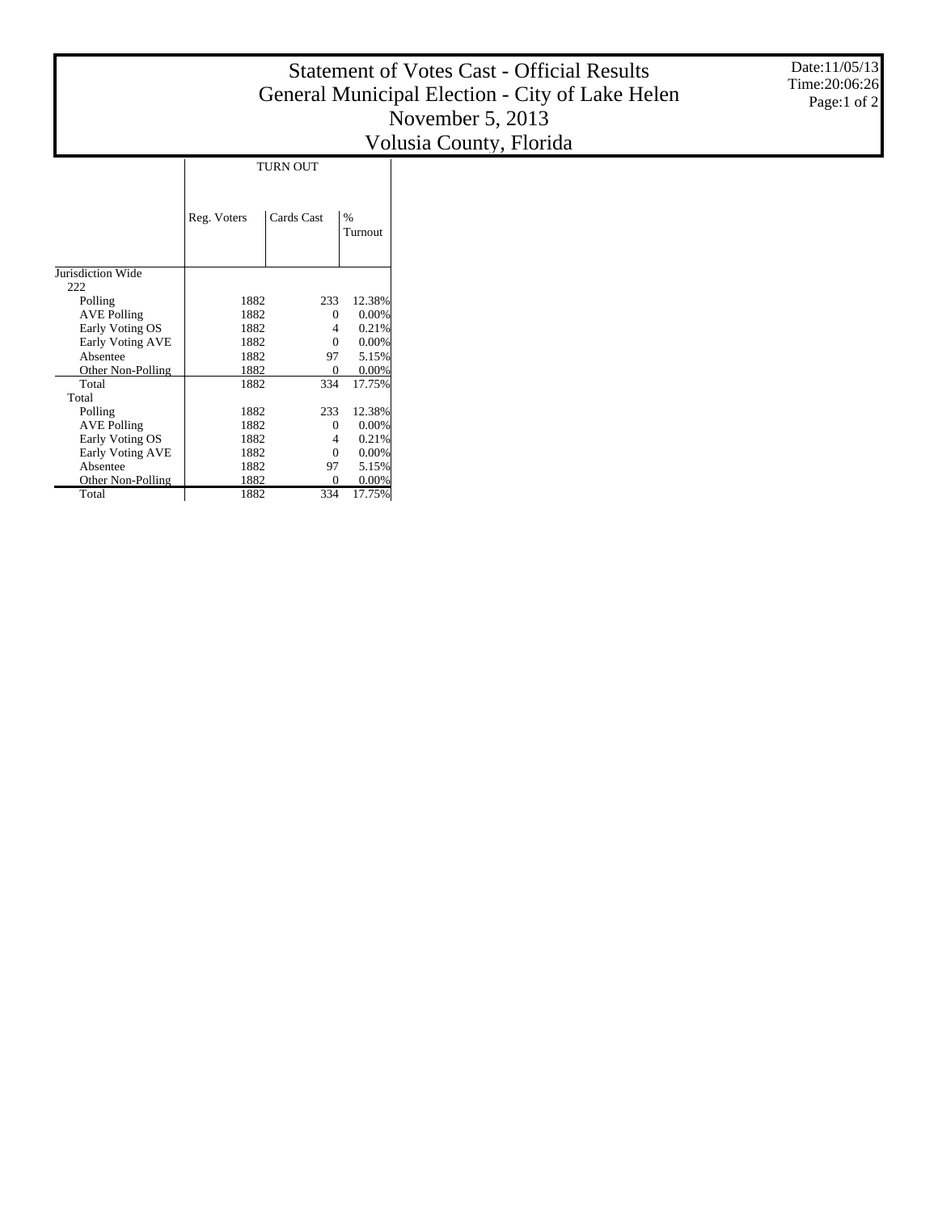## Statement of Votes Cast - Official Results General Municipal Election - City of Lake Helen November 5, 2013 Volusia County, Florida

TURN OUT

|                         | Reg. Voters | Cards Cast | %<br>Turnout |  |
|-------------------------|-------------|------------|--------------|--|
| Jurisdiction Wide       |             |            |              |  |
| 222                     |             |            |              |  |
| Polling                 | 1882        | 233        | 12.38%       |  |
| <b>AVE Polling</b>      | 1882        | 0          | 0.00%        |  |
| Early Voting OS         | 1882        | 4          | 0.21%        |  |
| <b>Early Voting AVE</b> | 1882        | $\Omega$   | 0.00%        |  |
| Absentee                | 1882        | 97         | 5.15%        |  |
| Other Non-Polling       | 1882        | 0          | 0.00%        |  |
| Total                   | 1882        | 334        | 17.75%       |  |
| Total                   |             |            |              |  |
| Polling                 | 1882        | 233        | 12.38%       |  |
| <b>AVE Polling</b>      | 1882        | 0          | 0.00%        |  |
| Early Voting OS         | 1882        | 4          | 0.21%        |  |
| Early Voting AVE        | 1882        | $\Omega$   | 0.00%        |  |
| Absentee                | 1882        | 97         | 5.15%        |  |
| Other Non-Polling       | 1882        | $\Omega$   | $0.00\%$     |  |
| Total                   | 1882        | 334        | 17.75%       |  |